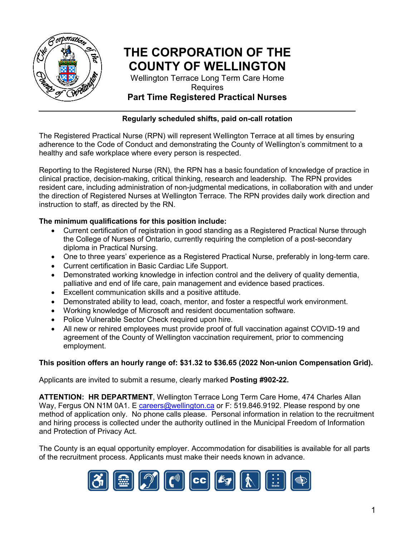

## **THE CORPORATION OF THE COUNTY OF WELLINGTON**

Wellington Terrace Long Term Care Home Requires

### **Part Time Registered Practical Nurses**

#### **Regularly scheduled shifts, paid on-call rotation**

The Registered Practical Nurse (RPN) will represent Wellington Terrace at all times by ensuring adherence to the Code of Conduct and demonstrating the County of Wellington's commitment to a healthy and safe workplace where every person is respected.

Reporting to the Registered Nurse (RN), the RPN has a basic foundation of knowledge of practice in clinical practice, decision-making, critical thinking, research and leadership. The RPN provides resident care, including administration of non-judgmental medications, in collaboration with and under the direction of Registered Nurses at Wellington Terrace. The RPN provides daily work direction and instruction to staff, as directed by the RN.

#### **The minimum qualifications for this position include:**

- Current certification of registration in good standing as a Registered Practical Nurse through the College of Nurses of Ontario, currently requiring the completion of a post-secondary diploma in Practical Nursing.
- One to three years' experience as a Registered Practical Nurse, preferably in long-term care.
- Current certification in Basic Cardiac Life Support.
- Demonstrated working knowledge in infection control and the delivery of quality dementia, palliative and end of life care, pain management and evidence based practices.
- Excellent communication skills and a positive attitude.
- Demonstrated ability to lead, coach, mentor, and foster a respectful work environment.
- Working knowledge of Microsoft and resident documentation software.
- Police Vulnerable Sector Check required upon hire.
- All new or rehired employees must provide proof of full vaccination against COVID-19 and agreement of the County of Wellington vaccination requirement, prior to commencing employment.

#### **This position offers an hourly range of: \$31.32 to \$36.65 (2022 Non-union Compensation Grid).**

Applicants are invited to submit a resume, clearly marked **Posting #902-22.** 

**ATTENTION: HR DEPARTMENT**, Wellington Terrace Long Term Care Home, 474 Charles Allan Way, Fergus ON N1M 0A1. E [careers@wellington.ca](mailto:careers@wellington.ca) or F: 519.846.9192. Please respond by one method of application only. No phone calls please. Personal information in relation to the recruitment and hiring process is collected under the authority outlined in the Municipal Freedom of Information and Protection of Privacy Act.

The County is an equal opportunity employer. Accommodation for disabilities is available for all parts of the recruitment process. Applicants must make their needs known in advance.

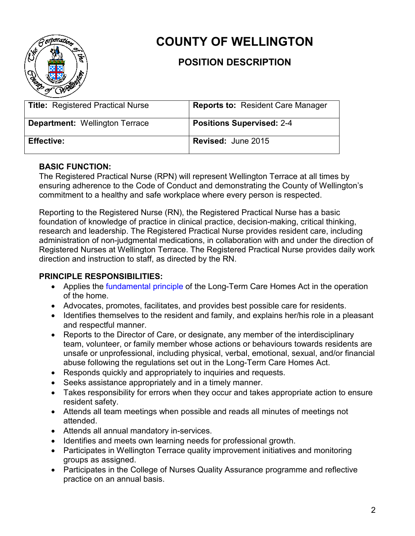

# **COUNTY OF WELLINGTON**

## **POSITION DESCRIPTION**

| <b>Title: Registered Practical Nurse</b> | <b>Reports to: Resident Care Manager</b> |
|------------------------------------------|------------------------------------------|
| <b>Department: Wellington Terrace</b>    | <b>Positions Supervised: 2-4</b>         |
| <b>Effective:</b>                        | <b>Revised: June 2015</b>                |

#### **BASIC FUNCTION:**

The Registered Practical Nurse (RPN) will represent Wellington Terrace at all times by ensuring adherence to the Code of Conduct and demonstrating the County of Wellington's commitment to a healthy and safe workplace where every person is respected.

Reporting to the Registered Nurse (RN), the Registered Practical Nurse has a basic foundation of knowledge of practice in clinical practice, decision-making, critical thinking, research and leadership. The Registered Practical Nurse provides resident care, including administration of non-judgmental medications, in collaboration with and under the direction of Registered Nurses at Wellington Terrace. The Registered Practical Nurse provides daily work direction and instruction to staff, as directed by the RN.

#### **PRINCIPLE RESPONSIBILITIES:**

- Applies the [fundamental principle](http://www.ontario.ca/laws/statute/07l08%20-%20BK1%20-%20BK1%20-%20BK1#BK1) of the Long-Term Care Homes Act in the operation of the home.
- Advocates, promotes, facilitates, and provides best possible care for residents.
- Identifies themselves to the resident and family, and explains her/his role in a pleasant and respectful manner.
- Reports to the Director of Care, or designate, any member of the interdisciplinary team, volunteer, or family member whose actions or behaviours towards residents are unsafe or unprofessional, including physical, verbal, emotional, sexual, and/or financial abuse following the regulations set out in the Long-Term Care Homes Act.
- Responds quickly and appropriately to inquiries and requests.
- Seeks assistance appropriately and in a timely manner.
- Takes responsibility for errors when they occur and takes appropriate action to ensure resident safety.
- Attends all team meetings when possible and reads all minutes of meetings not attended.
- Attends all annual mandatory in-services.
- Identifies and meets own learning needs for professional growth.
- Participates in Wellington Terrace quality improvement initiatives and monitoring groups as assigned.
- Participates in the College of Nurses Quality Assurance programme and reflective practice on an annual basis.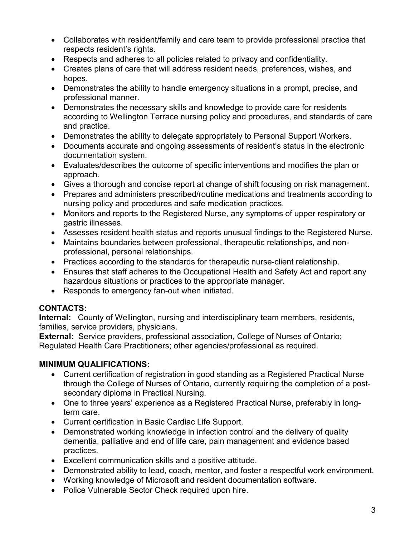- Collaborates with resident/family and care team to provide professional practice that respects resident's rights.
- Respects and adheres to all policies related to privacy and confidentiality.
- Creates plans of care that will address resident needs, preferences, wishes, and hopes.
- Demonstrates the ability to handle emergency situations in a prompt, precise, and professional manner.
- Demonstrates the necessary skills and knowledge to provide care for residents according to Wellington Terrace nursing policy and procedures, and standards of care and practice.
- Demonstrates the ability to delegate appropriately to Personal Support Workers.
- Documents accurate and ongoing assessments of resident's status in the electronic documentation system.
- Evaluates/describes the outcome of specific interventions and modifies the plan or approach.
- Gives a thorough and concise report at change of shift focusing on risk management.
- Prepares and administers prescribed/routine medications and treatments according to nursing policy and procedures and safe medication practices.
- Monitors and reports to the Registered Nurse, any symptoms of upper respiratory or gastric illnesses.
- Assesses resident health status and reports unusual findings to the Registered Nurse.
- Maintains boundaries between professional, therapeutic relationships, and nonprofessional, personal relationships.
- Practices according to the standards for therapeutic nurse-client relationship.
- Ensures that staff adheres to the Occupational Health and Safety Act and report any hazardous situations or practices to the appropriate manager.
- Responds to emergency fan-out when initiated.

#### **CONTACTS:**

**Internal:** County of Wellington, nursing and interdisciplinary team members, residents, families, service providers, physicians.

**External:** Service providers, professional association, College of Nurses of Ontario; Regulated Health Care Practitioners; other agencies/professional as required.

#### **MINIMUM QUALIFICATIONS:**

- Current certification of registration in good standing as a Registered Practical Nurse through the College of Nurses of Ontario, currently requiring the completion of a postsecondary diploma in Practical Nursing.
- One to three years' experience as a Registered Practical Nurse, preferably in longterm care.
- Current certification in Basic Cardiac Life Support.
- Demonstrated working knowledge in infection control and the delivery of quality dementia, palliative and end of life care, pain management and evidence based practices.
- Excellent communication skills and a positive attitude.
- Demonstrated ability to lead, coach, mentor, and foster a respectful work environment.
- Working knowledge of Microsoft and resident documentation software.
- Police Vulnerable Sector Check required upon hire.